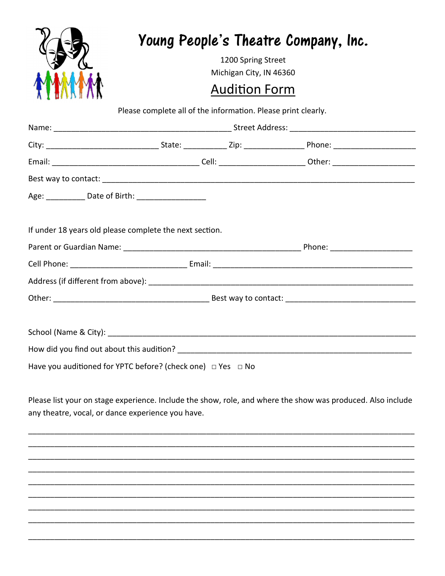|                                                                                                                                                                  |                         | 1200 Spring Street | Young People's Theatre Company, Inc. |  |  |  |
|------------------------------------------------------------------------------------------------------------------------------------------------------------------|-------------------------|--------------------|--------------------------------------|--|--|--|
|                                                                                                                                                                  | Michigan City, IN 46360 |                    |                                      |  |  |  |
|                                                                                                                                                                  | <b>Audition Form</b>    |                    |                                      |  |  |  |
| Please complete all of the information. Please print clearly.                                                                                                    |                         |                    |                                      |  |  |  |
|                                                                                                                                                                  |                         |                    |                                      |  |  |  |
|                                                                                                                                                                  |                         |                    |                                      |  |  |  |
|                                                                                                                                                                  |                         |                    |                                      |  |  |  |
|                                                                                                                                                                  |                         |                    |                                      |  |  |  |
| Age: _____________ Date of Birth: ______________________                                                                                                         |                         |                    |                                      |  |  |  |
| If under 18 years old please complete the next section.                                                                                                          |                         |                    |                                      |  |  |  |
|                                                                                                                                                                  |                         |                    |                                      |  |  |  |
| Have you auditioned for YPTC before? (check one) $\Box$ Yes $\Box$ No                                                                                            |                         |                    |                                      |  |  |  |
| Please list your on stage experience. Include the show, role, and where the show was produced. Also include<br>any theatre, vocal, or dance experience you have. |                         |                    |                                      |  |  |  |
|                                                                                                                                                                  |                         |                    |                                      |  |  |  |
|                                                                                                                                                                  |                         |                    |                                      |  |  |  |
|                                                                                                                                                                  |                         |                    |                                      |  |  |  |